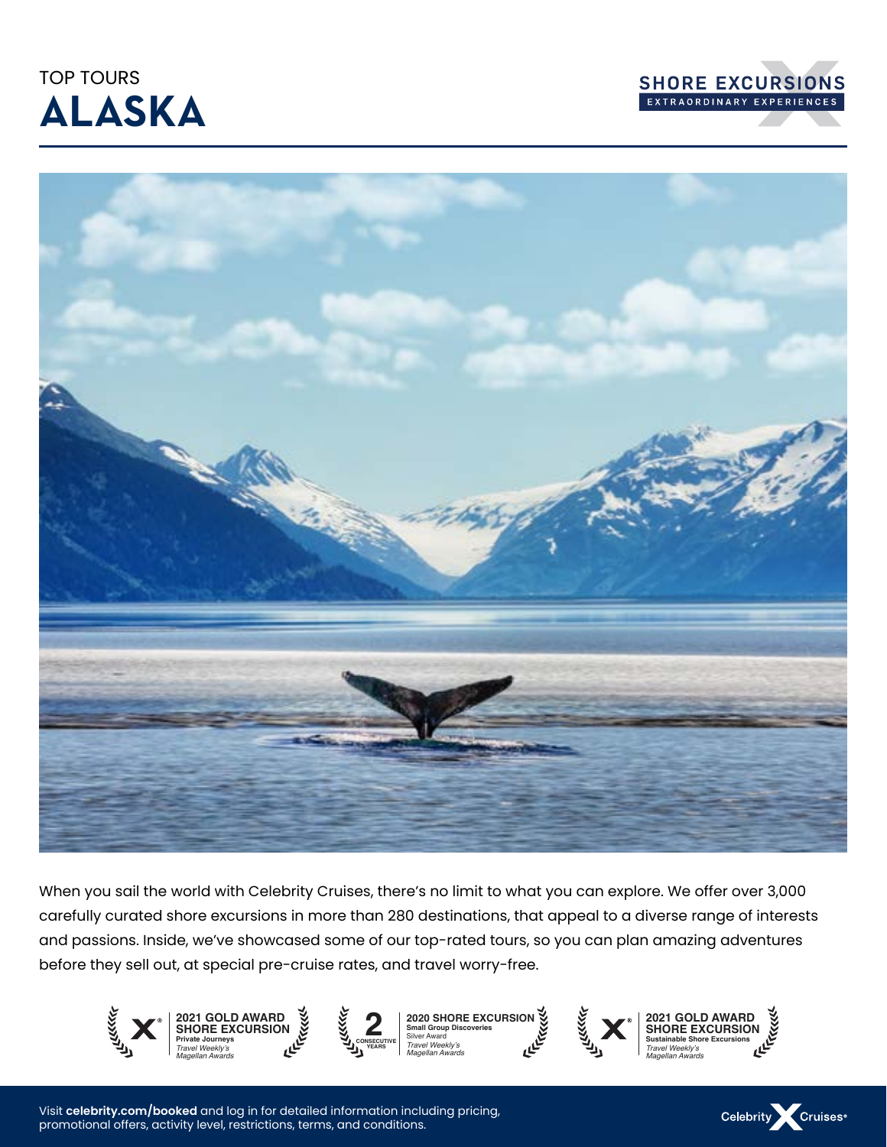## TOP TOURS **ALASKA**





When you sail the world with Celebrity Cruises, there's no limit to what you can explore. We offer over 3,000 carefully curated shore excursions in more than 280 destinations, that appeal to a diverse range of interests and passions. Inside, we've showcased some of our top-rated tours, so you can plan amazing adventures before they sell out, at special pre-cruise rates, and travel worry-free.



Visit **celebrity.com/booked** and log in for detailed information including pricing, promotional offers, activity level, restrictions, terms, and conditions.

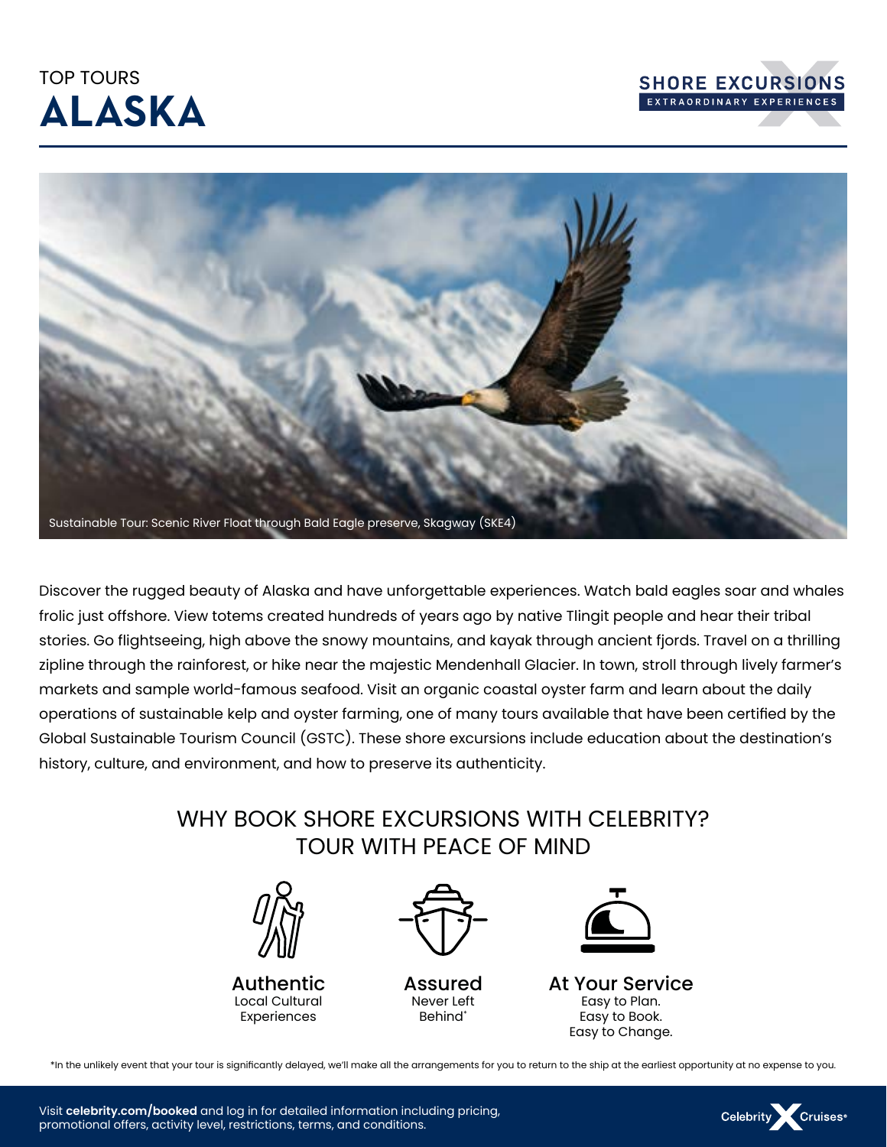## TOP TOURS **ALASKA**





Discover the rugged beauty of Alaska and have unforgettable experiences. Watch bald eagles soar and whales frolic just offshore. View totems created hundreds of years ago by native Tlingit people and hear their tribal stories. Go flightseeing, high above the snowy mountains, and kayak through ancient fjords. Travel on a thrilling zipline through the rainforest, or hike near the majestic Mendenhall Glacier. In town, stroll through lively farmer's markets and sample world-famous seafood. Visit an organic coastal oyster farm and learn about the daily operations of sustainable kelp and oyster farming, one of many tours available that have been certified by the Global Sustainable Tourism Council (GSTC). These shore excursions include education about the destination's history, culture, and environment, and how to preserve its authenticity.

### WHY BOOK SHORE EXCURSIONS WITH CELEBRITY? TOUR WITH PEACE OF MIND



Authentic Local Cultural Experiences



Assured Never Left Behind\*



At Your Service Easy to Plan. Easy to Book. Easy to Change.

Celebrity Cruises<sup>®</sup>

\*In the unlikely event that your tour is significantly delayed, we'll make all the arrangements for you to return to the ship at the earliest opportunity at no expense to you.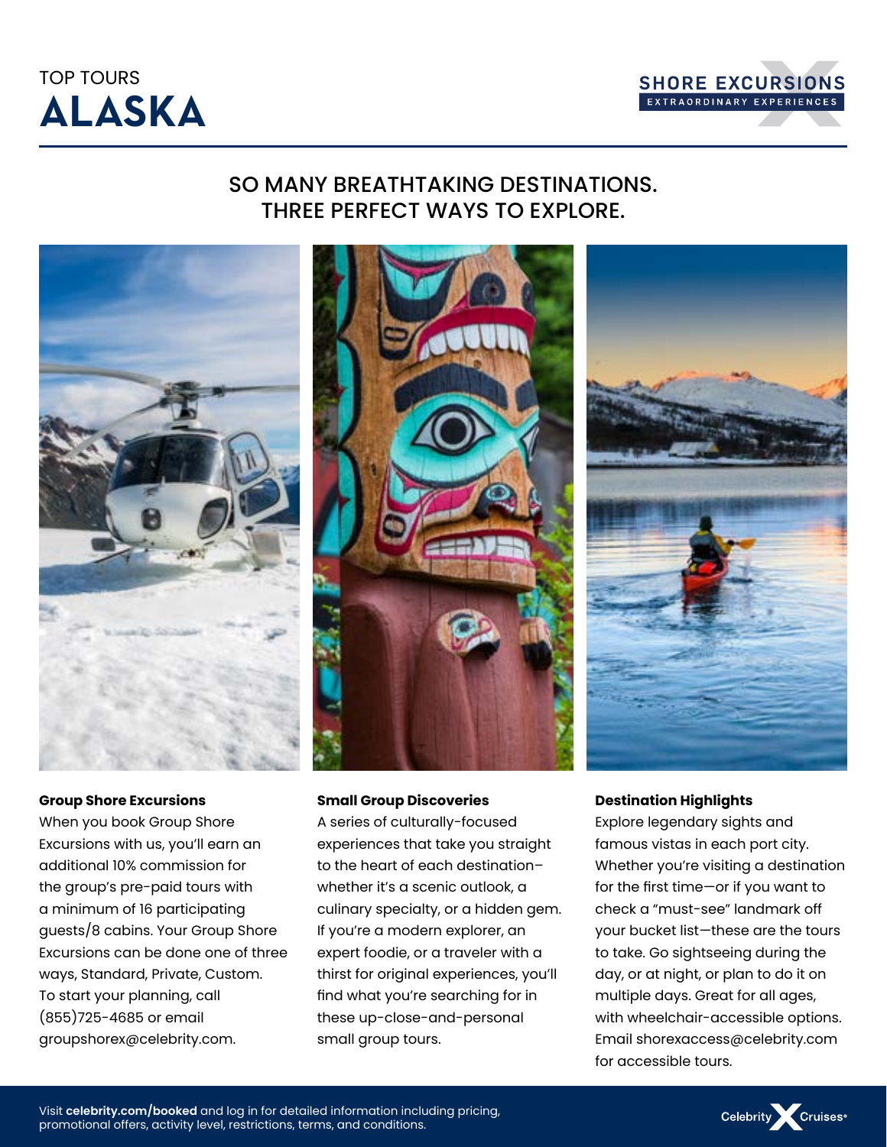



### SO MANY BREATHTAKING DESTINATIONS. THREE PERFECT WAYS TO EXPLORE.



#### **Group Shore Excursions**

When you book Group Shore Excursions with us, you'll earn an additional 10% commission for the group's pre-paid tours with a minimum of 16 participating guests/8 cabins. Your Group Shore Excursions can be done one of three ways, Standard, Private, Custom. To start your planning, call (855)725-4685 or email groupshorex@celebrity.com.



#### **Small Group Discoveries**

A series of culturally-focused experiences that take you straight to the heart of each destination– whether it's a scenic outlook, a culinary specialty, or a hidden gem. If you're a modern explorer, an expert foodie, or a traveler with a thirst for original experiences, you'll find what you're searching for in these up-close-and-personal small group tours.



#### **Destination Highlights**

Explore legendary sights and famous vistas in each port city. Whether you're visiting a destination for the first time—or if you want to check a "must-see" landmark off your bucket list—these are the tours to take. Go sightseeing during the day, or at night, or plan to do it on multiple days. Great for all ages, with wheelchair-accessible options. Email shorexaccess@celebrity.com for accessible tours.